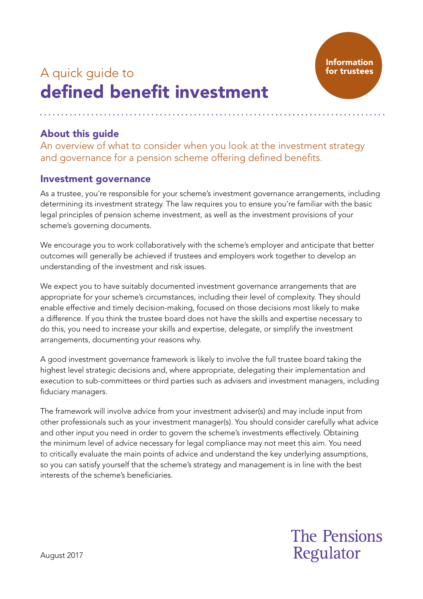# A quick guide to defined benefit investment

## About this guide

An overview of what to consider when you look at the investment strategy and governance for a pension scheme offering defined benefits.

#### Investment governance

As a trustee, you're responsible for your scheme's investment governance arrangements, including determining its investment strategy. The law requires you to ensure you're familiar with the basic legal principles of pension scheme investment, as well as the investment provisions of your scheme's governing documents.

We encourage you to work collaboratively with the scheme's employer and anticipate that better outcomes will generally be achieved if trustees and employers work together to develop an understanding of the investment and risk issues.

We expect you to have suitably documented investment governance arrangements that are appropriate for your scheme's circumstances, including their level of complexity. They should enable effective and timely decision-making, focused on those decisions most likely to make a difference. If you think the trustee board does not have the skills and expertise necessary to do this, you need to increase your skills and expertise, delegate, or simplify the investment arrangements, documenting your reasons why.

A good investment governance framework is likely to involve the full trustee board taking the highest level strategic decisions and, where appropriate, delegating their implementation and execution to sub-committees or third parties such as advisers and investment managers, including fiduciary managers.

The framework will involve advice from your investment adviser(s) and may include input from other professionals such as your investment manager(s). You should consider carefully what advice and other input you need in order to govern the scheme's investments effectively. Obtaining the minimum level of advice necessary for legal compliance may not meet this aim. You need to critically evaluate the main points of advice and understand the key underlying assumptions, so you can satisfy yourself that the scheme's strategy and management is in line with the best interests of the scheme's beneficiaries.

> **The Pensions** Regulator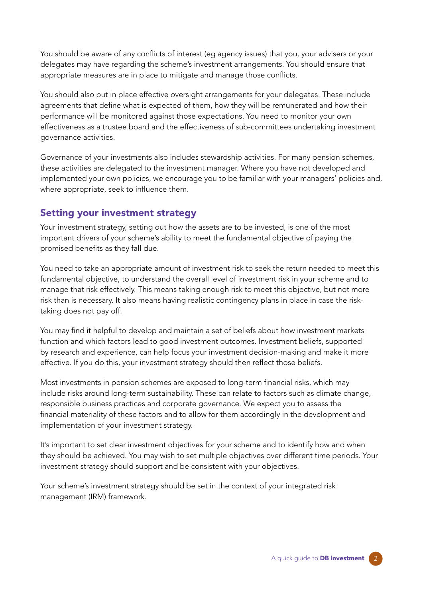You should be aware of any conflicts of interest (eg agency issues) that you, your advisers or your delegates may have regarding the scheme's investment arrangements. You should ensure that appropriate measures are in place to mitigate and manage those conflicts.

You should also put in place effective oversight arrangements for your delegates. These include agreements that define what is expected of them, how they will be remunerated and how their performance will be monitored against those expectations. You need to monitor your own effectiveness as a trustee board and the effectiveness of sub-committees undertaking investment governance activities.

Governance of your investments also includes stewardship activities. For many pension schemes, these activities are delegated to the investment manager. Where you have not developed and implemented your own policies, we encourage you to be familiar with your managers' policies and, where appropriate, seek to influence them.

### Setting your investment strategy

Your investment strategy, setting out how the assets are to be invested, is one of the most important drivers of your scheme's ability to meet the fundamental objective of paying the promised benefits as they fall due.

You need to take an appropriate amount of investment risk to seek the return needed to meet this fundamental objective, to understand the overall level of investment risk in your scheme and to manage that risk effectively. This means taking enough risk to meet this objective, but not more risk than is necessary. It also means having realistic contingency plans in place in case the risktaking does not pay off.

You may find it helpful to develop and maintain a set of beliefs about how investment markets function and which factors lead to good investment outcomes. Investment beliefs, supported by research and experience, can help focus your investment decision-making and make it more effective. If you do this, your investment strategy should then reflect those beliefs.

Most investments in pension schemes are exposed to long-term financial risks, which may include risks around long-term sustainability. These can relate to factors such as climate change, responsible business practices and corporate governance. We expect you to assess the financial materiality of these factors and to allow for them accordingly in the development and implementation of your investment strategy.

It's important to set clear investment objectives for your scheme and to identify how and when they should be achieved. You may wish to set multiple objectives over different time periods. Your investment strategy should support and be consistent with your objectives.

Your scheme's investment strategy should be set in the context of your integrated risk management (IRM) framework.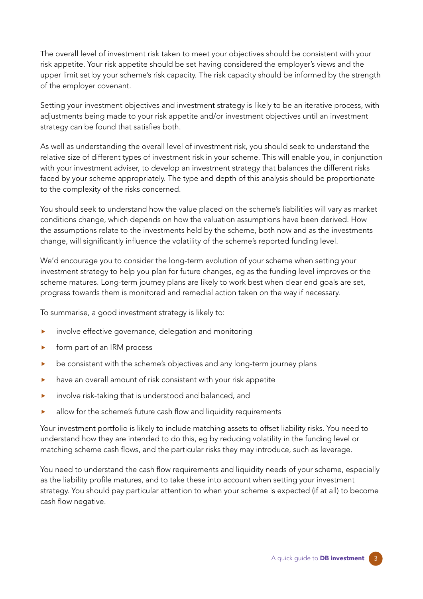The overall level of investment risk taken to meet your objectives should be consistent with your risk appetite. Your risk appetite should be set having considered the employer's views and the upper limit set by your scheme's risk capacity. The risk capacity should be informed by the strength of the employer covenant.

Setting your investment objectives and investment strategy is likely to be an iterative process, with adjustments being made to your risk appetite and/or investment objectives until an investment strategy can be found that satisfies both.

As well as understanding the overall level of investment risk, you should seek to understand the relative size of different types of investment risk in your scheme. This will enable you, in conjunction with your investment adviser, to develop an investment strategy that balances the different risks faced by your scheme appropriately. The type and depth of this analysis should be proportionate to the complexity of the risks concerned.

You should seek to understand how the value placed on the scheme's liabilities will vary as market conditions change, which depends on how the valuation assumptions have been derived. How the assumptions relate to the investments held by the scheme, both now and as the investments change, will significantly influence the volatility of the scheme's reported funding level.

We'd encourage you to consider the long-term evolution of your scheme when setting your investment strategy to help you plan for future changes, eg as the funding level improves or the scheme matures. Long-term journey plans are likely to work best when clear end goals are set, progress towards them is monitored and remedial action taken on the way if necessary.

To summarise, a good investment strategy is likely to:

- involve effective governance, delegation and monitoring
- **Form part of an IRM process**
- be consistent with the scheme's objectives and any long-term journey plans
- have an overall amount of risk consistent with your risk appetite
- involve risk-taking that is understood and balanced, and
- allow for the scheme's future cash flow and liquidity requirements

Your investment portfolio is likely to include matching assets to offset liability risks. You need to understand how they are intended to do this, eg by reducing volatility in the funding level or matching scheme cash flows, and the particular risks they may introduce, such as leverage.

You need to understand the cash flow requirements and liquidity needs of your scheme, especially as the liability profile matures, and to take these into account when setting your investment strategy. You should pay particular attention to when your scheme is expected (if at all) to become cash flow negative.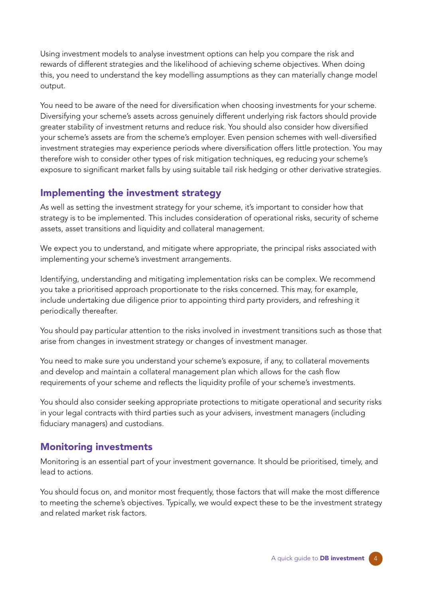Using investment models to analyse investment options can help you compare the risk and rewards of different strategies and the likelihood of achieving scheme objectives. When doing this, you need to understand the key modelling assumptions as they can materially change model output.

You need to be aware of the need for diversification when choosing investments for your scheme. Diversifying your scheme's assets across genuinely different underlying risk factors should provide greater stability of investment returns and reduce risk. You should also consider how diversified your scheme's assets are from the scheme's employer. Even pension schemes with well-diversified investment strategies may experience periods where diversification offers little protection. You may therefore wish to consider other types of risk mitigation techniques, eg reducing your scheme's exposure to significant market falls by using suitable tail risk hedging or other derivative strategies.

### Implementing the investment strategy

As well as setting the investment strategy for your scheme, it's important to consider how that strategy is to be implemented. This includes consideration of operational risks, security of scheme assets, asset transitions and liquidity and collateral management.

We expect you to understand, and mitigate where appropriate, the principal risks associated with implementing your scheme's investment arrangements.

Identifying, understanding and mitigating implementation risks can be complex. We recommend you take a prioritised approach proportionate to the risks concerned. This may, for example, include undertaking due diligence prior to appointing third party providers, and refreshing it periodically thereafter.

You should pay particular attention to the risks involved in investment transitions such as those that arise from changes in investment strategy or changes of investment manager.

You need to make sure you understand your scheme's exposure, if any, to collateral movements and develop and maintain a collateral management plan which allows for the cash flow requirements of your scheme and reflects the liquidity profile of your scheme's investments.

You should also consider seeking appropriate protections to mitigate operational and security risks in your legal contracts with third parties such as your advisers, investment managers (including fiduciary managers) and custodians.

#### Monitoring investments

Monitoring is an essential part of your investment governance. It should be prioritised, timely, and lead to actions.

You should focus on, and monitor most frequently, those factors that will make the most difference to meeting the scheme's objectives. Typically, we would expect these to be the investment strategy and related market risk factors.